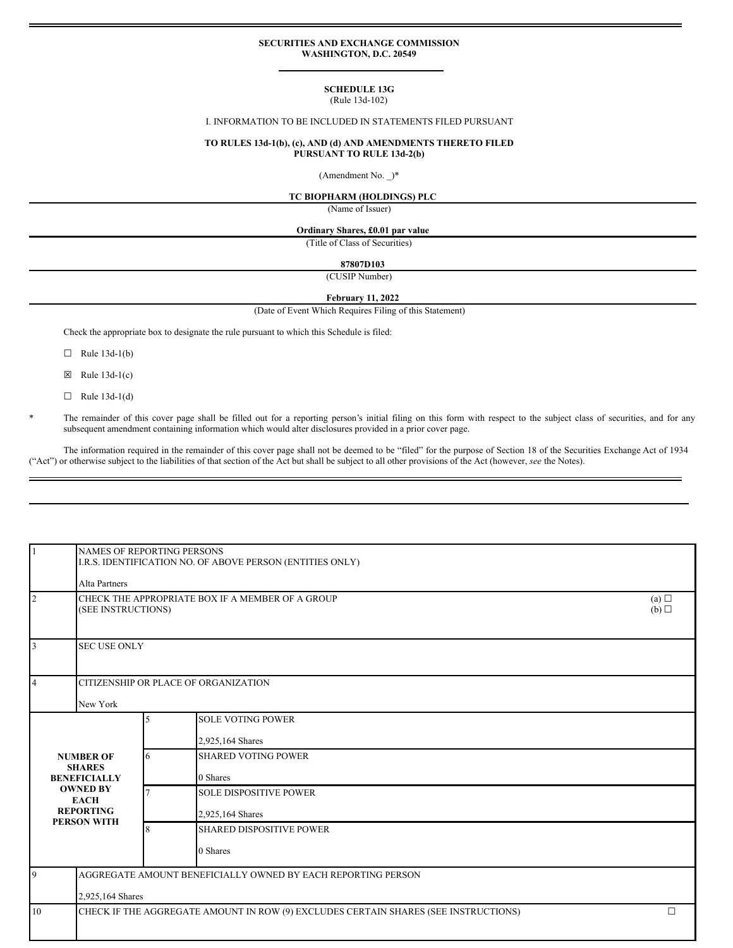#### **SECURITIES AND EXCHANGE COMMISSION WASHINGTON, D.C. 20549**

# **SCHEDULE 13G**

### (Rule 13d-102)

### I. INFORMATION TO BE INCLUDED IN STATEMENTS FILED PURSUANT

#### **TO RULES 13d-1(b), (c), AND (d) AND AMENDMENTS THERETO FILED PURSUANT TO RULE 13d-2(b)**

(Amendment No. \_)\*

### **TC BIOPHARM (HOLDINGS) PLC**

(Name of Issuer)

#### **Ordinary Shares, £0.01 par value**

(Title of Class of Securities)

#### **87807D103**

(CUSIP Number)

## **February 11, 2022**

(Date of Event Which Requires Filing of this Statement)

Check the appropriate box to designate the rule pursuant to which this Schedule is filed:

- $\Box$  Rule 13d-1(b)
- $\boxtimes$  Rule 13d-1(c)
- $\Box$  Rule 13d-1(d)

The remainder of this cover page shall be filled out for a reporting person's initial filing on this form with respect to the subject class of securities, and for any subsequent amendment containing information which would alter disclosures provided in a prior cover page.

The information required in the remainder of this cover page shall not be deemed to be "filed" for the purpose of Section 18 of the Securities Exchange Act of 1934 ("Act") or otherwise subject to the liabilities of that section of the Act but shall be subject to all other provisions of the Act (however, *see* the Notes).

| $\overline{1}$                                                                                                                | <b>NAMES OF REPORTING PERSONS</b><br>I.R.S. IDENTIFICATION NO. OF ABOVE PERSON (ENTITIES ONLY)<br>Alta Partners |   |                                                                                     |            |  |
|-------------------------------------------------------------------------------------------------------------------------------|-----------------------------------------------------------------------------------------------------------------|---|-------------------------------------------------------------------------------------|------------|--|
| $\overline{2}$<br>(SEE INSTRUCTIONS)                                                                                          |                                                                                                                 |   | CHECK THE APPROPRIATE BOX IF A MEMBER OF A GROUP                                    | (a)<br>(b) |  |
| 3                                                                                                                             | <b>SEC USE ONLY</b>                                                                                             |   |                                                                                     |            |  |
| $\overline{4}$                                                                                                                | CITIZENSHIP OR PLACE OF ORGANIZATION<br>New York                                                                |   |                                                                                     |            |  |
| <b>NUMBER OF</b><br><b>SHARES</b><br><b>BENEFICIALLY</b><br><b>OWNED BY</b><br><b>EACH</b><br><b>REPORTING</b><br>PERSON WITH |                                                                                                                 | 5 | <b>SOLE VOTING POWER</b><br>2,925,164 Shares                                        |            |  |
|                                                                                                                               |                                                                                                                 | 6 | <b>SHARED VOTING POWER</b><br>0 Shares                                              |            |  |
|                                                                                                                               |                                                                                                                 |   | <b>SOLE DISPOSITIVE POWER</b><br>2,925,164 Shares                                   |            |  |
|                                                                                                                               |                                                                                                                 | 8 | <b>SHARED DISPOSITIVE POWER</b><br>0 Shares                                         |            |  |
| 9                                                                                                                             | AGGREGATE AMOUNT BENEFICIALLY OWNED BY EACH REPORTING PERSON<br>2,925,164 Shares                                |   |                                                                                     |            |  |
| 10                                                                                                                            |                                                                                                                 |   | CHECK IF THE AGGREGATE AMOUNT IN ROW (9) EXCLUDES CERTAIN SHARES (SEE INSTRUCTIONS) | $\Box$     |  |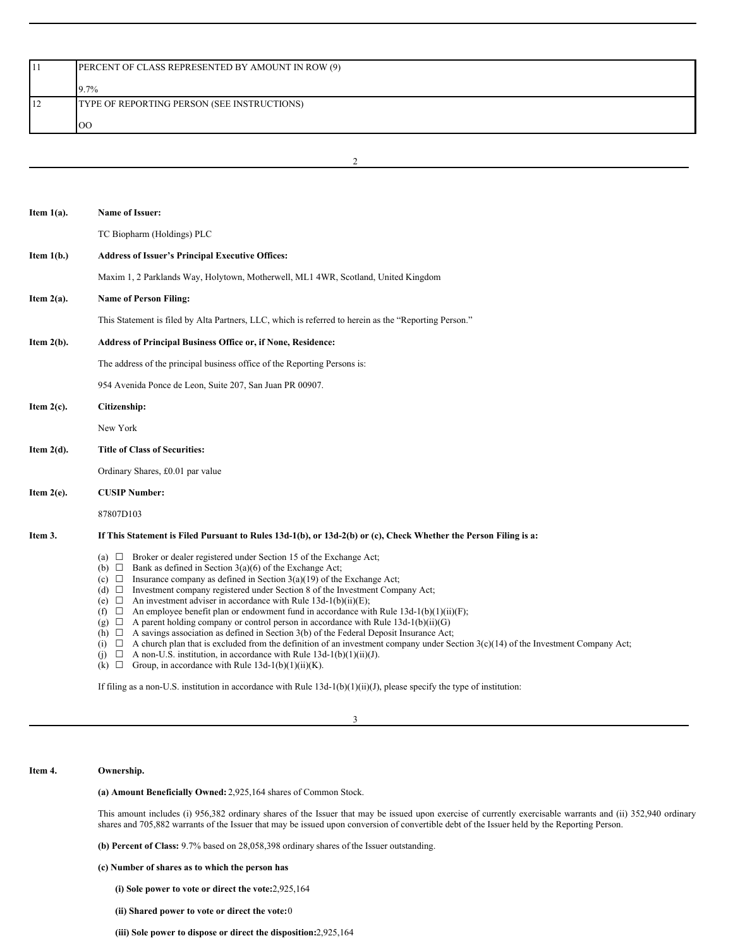|    | PERCENT OF CLASS REPRESENTED BY AMOUNT IN ROW (9) |  |  |  |  |
|----|---------------------------------------------------|--|--|--|--|
|    |                                                   |  |  |  |  |
|    | 9.7%                                              |  |  |  |  |
| 12 | TYPE OF REPORTING PERSON (SEE INSTRUCTIONS)       |  |  |  |  |
|    |                                                   |  |  |  |  |
|    | $_{\rm OO}$                                       |  |  |  |  |

2

| Item $1(a)$ . | Name of Issuer:                                                                                                                                                                                                                                                                                                                                                                                                                                                                                                                                                                                                                                                                                                                                                                                                                                                                                                                                                                                                                                                  |  |  |  |  |  |
|---------------|------------------------------------------------------------------------------------------------------------------------------------------------------------------------------------------------------------------------------------------------------------------------------------------------------------------------------------------------------------------------------------------------------------------------------------------------------------------------------------------------------------------------------------------------------------------------------------------------------------------------------------------------------------------------------------------------------------------------------------------------------------------------------------------------------------------------------------------------------------------------------------------------------------------------------------------------------------------------------------------------------------------------------------------------------------------|--|--|--|--|--|
|               | TC Biopharm (Holdings) PLC                                                                                                                                                                                                                                                                                                                                                                                                                                                                                                                                                                                                                                                                                                                                                                                                                                                                                                                                                                                                                                       |  |  |  |  |  |
| Item $1(b.)$  | <b>Address of Issuer's Principal Executive Offices:</b>                                                                                                                                                                                                                                                                                                                                                                                                                                                                                                                                                                                                                                                                                                                                                                                                                                                                                                                                                                                                          |  |  |  |  |  |
|               | Maxim 1, 2 Parklands Way, Holytown, Motherwell, ML1 4WR, Scotland, United Kingdom                                                                                                                                                                                                                                                                                                                                                                                                                                                                                                                                                                                                                                                                                                                                                                                                                                                                                                                                                                                |  |  |  |  |  |
| Item $2(a)$ . | <b>Name of Person Filing:</b>                                                                                                                                                                                                                                                                                                                                                                                                                                                                                                                                                                                                                                                                                                                                                                                                                                                                                                                                                                                                                                    |  |  |  |  |  |
|               | This Statement is filed by Alta Partners, LLC, which is referred to herein as the "Reporting Person."                                                                                                                                                                                                                                                                                                                                                                                                                                                                                                                                                                                                                                                                                                                                                                                                                                                                                                                                                            |  |  |  |  |  |
| Item $2(b)$ . | Address of Principal Business Office or, if None, Residence:                                                                                                                                                                                                                                                                                                                                                                                                                                                                                                                                                                                                                                                                                                                                                                                                                                                                                                                                                                                                     |  |  |  |  |  |
|               | The address of the principal business office of the Reporting Persons is:                                                                                                                                                                                                                                                                                                                                                                                                                                                                                                                                                                                                                                                                                                                                                                                                                                                                                                                                                                                        |  |  |  |  |  |
|               | 954 Avenida Ponce de Leon, Suite 207, San Juan PR 00907.                                                                                                                                                                                                                                                                                                                                                                                                                                                                                                                                                                                                                                                                                                                                                                                                                                                                                                                                                                                                         |  |  |  |  |  |
| Item $2(c)$ . | Citizenship:                                                                                                                                                                                                                                                                                                                                                                                                                                                                                                                                                                                                                                                                                                                                                                                                                                                                                                                                                                                                                                                     |  |  |  |  |  |
|               | New York                                                                                                                                                                                                                                                                                                                                                                                                                                                                                                                                                                                                                                                                                                                                                                                                                                                                                                                                                                                                                                                         |  |  |  |  |  |
| Item $2(d)$ . | <b>Title of Class of Securities:</b>                                                                                                                                                                                                                                                                                                                                                                                                                                                                                                                                                                                                                                                                                                                                                                                                                                                                                                                                                                                                                             |  |  |  |  |  |
|               | Ordinary Shares, £0.01 par value                                                                                                                                                                                                                                                                                                                                                                                                                                                                                                                                                                                                                                                                                                                                                                                                                                                                                                                                                                                                                                 |  |  |  |  |  |
| Item $2(e)$ . | <b>CUSIP Number:</b>                                                                                                                                                                                                                                                                                                                                                                                                                                                                                                                                                                                                                                                                                                                                                                                                                                                                                                                                                                                                                                             |  |  |  |  |  |
|               | 87807D103                                                                                                                                                                                                                                                                                                                                                                                                                                                                                                                                                                                                                                                                                                                                                                                                                                                                                                                                                                                                                                                        |  |  |  |  |  |
| Item 3.       | If This Statement is Filed Pursuant to Rules 13d-1(b), or 13d-2(b) or (c), Check Whether the Person Filing is a:                                                                                                                                                                                                                                                                                                                                                                                                                                                                                                                                                                                                                                                                                                                                                                                                                                                                                                                                                 |  |  |  |  |  |
|               | (a) $\Box$ Broker or dealer registered under Section 15 of the Exchange Act;<br>(b) $\Box$ Bank as defined in Section 3(a)(6) of the Exchange Act;<br>(c) $\Box$ Insurance company as defined in Section 3(a)(19) of the Exchange Act;<br>Investment company registered under Section 8 of the Investment Company Act;<br>$(d)$ $\Box$<br>An investment adviser in accordance with Rule $13d-1(b)(ii)(E)$ ;<br>$(e) \Box$<br>An employee benefit plan or endowment fund in accordance with Rule $13d-1(b)(1)(ii)(F)$ ;<br>$(f)$ $\Box$<br>A parent holding company or control person in accordance with Rule $13d-1(b)(ii)(G)$<br>$(g)$ $\square$<br>(h) $\Box$ A savings association as defined in Section 3(b) of the Federal Deposit Insurance Act;<br>$\Box$ A church plan that is excluded from the definition of an investment company under Section 3(c)(14) of the Investment Company Act;<br>(i)<br>A non-U.S. institution, in accordance with Rule $13d-1(b)(1)(ii)(J)$ .<br>(i)<br>⊔<br>(k) $\Box$ Group, in accordance with Rule 13d-1(b)(1)(ii)(K). |  |  |  |  |  |

If filing as a non-U.S. institution in accordance with Rule 13d-1(b)(1)(ii)(J), please specify the type of institution:

3

#### **Item 4. Ownership.**

**(a) Amount Beneficially Owned:** 2,925,164 shares of Common Stock.

This amount includes (i) 956,382 ordinary shares of the Issuer that may be issued upon exercise of currently exercisable warrants and (ii) 352,940 ordinary shares and 705,882 warrants of the Issuer that may be issued upon conversion of convertible debt of the Issuer held by the Reporting Person.

**(b) Percent of Class:** 9.7% based on 28,058,398 ordinary shares of the Issuer outstanding.

**(c) Number of shares as to which the person has**

**(i) Sole power to vote or direct the vote:**2,925,164

**(ii) Shared power to vote or direct the vote:**0

**(iii) Sole power to dispose or direct the disposition:**2,925,164